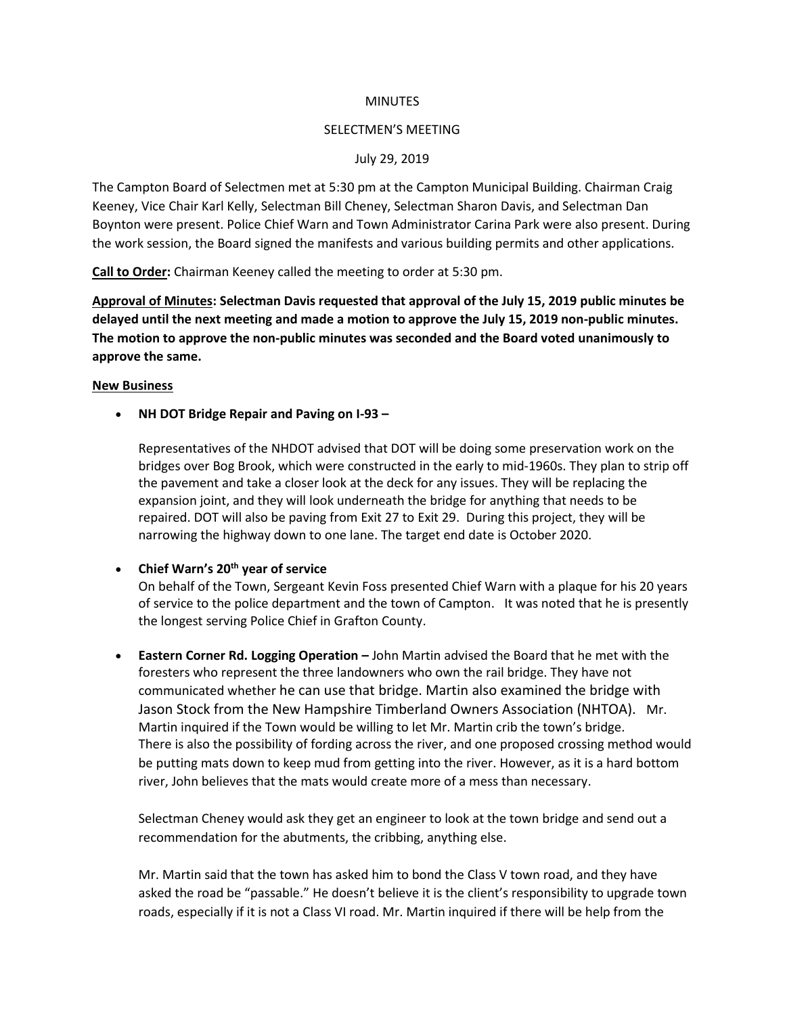#### **MINUTES**

#### SELECTMEN'S MEETING

### July 29, 2019

The Campton Board of Selectmen met at 5:30 pm at the Campton Municipal Building. Chairman Craig Keeney, Vice Chair Karl Kelly, Selectman Bill Cheney, Selectman Sharon Davis, and Selectman Dan Boynton were present. Police Chief Warn and Town Administrator Carina Park were also present. During the work session, the Board signed the manifests and various building permits and other applications.

**Call to Order:** Chairman Keeney called the meeting to order at 5:30 pm.

**Approval of Minutes: Selectman Davis requested that approval of the July 15, 2019 public minutes be delayed until the next meeting and made a motion to approve the July 15, 2019 non-public minutes. The motion to approve the non-public minutes was seconded and the Board voted unanimously to approve the same.** 

#### **New Business**

• **NH DOT Bridge Repair and Paving on I-93 –**

Representatives of the NHDOT advised that DOT will be doing some preservation work on the bridges over Bog Brook, which were constructed in the early to mid-1960s. They plan to strip off the pavement and take a closer look at the deck for any issues. They will be replacing the expansion joint, and they will look underneath the bridge for anything that needs to be repaired. DOT will also be paving from Exit 27 to Exit 29. During this project, they will be narrowing the highway down to one lane. The target end date is October 2020.

### • **Chief Warn's 20th year of service**

On behalf of the Town, Sergeant Kevin Foss presented Chief Warn with a plaque for his 20 years of service to the police department and the town of Campton. It was noted that he is presently the longest serving Police Chief in Grafton County.

• **Eastern Corner Rd. Logging Operation –** John Martin advised the Board that he met with the foresters who represent the three landowners who own the rail bridge. They have not communicated whether he can use that bridge. Martin also examined the bridge with Jason Stock from the New Hampshire Timberland Owners Association (NHTOA). Mr. Martin inquired if the Town would be willing to let Mr. Martin crib the town's bridge. There is also the possibility of fording across the river, and one proposed crossing method would be putting mats down to keep mud from getting into the river. However, as it is a hard bottom river, John believes that the mats would create more of a mess than necessary.

Selectman Cheney would ask they get an engineer to look at the town bridge and send out a recommendation for the abutments, the cribbing, anything else.

Mr. Martin said that the town has asked him to bond the Class V town road, and they have asked the road be "passable." He doesn't believe it is the client's responsibility to upgrade town roads, especially if it is not a Class VI road. Mr. Martin inquired if there will be help from the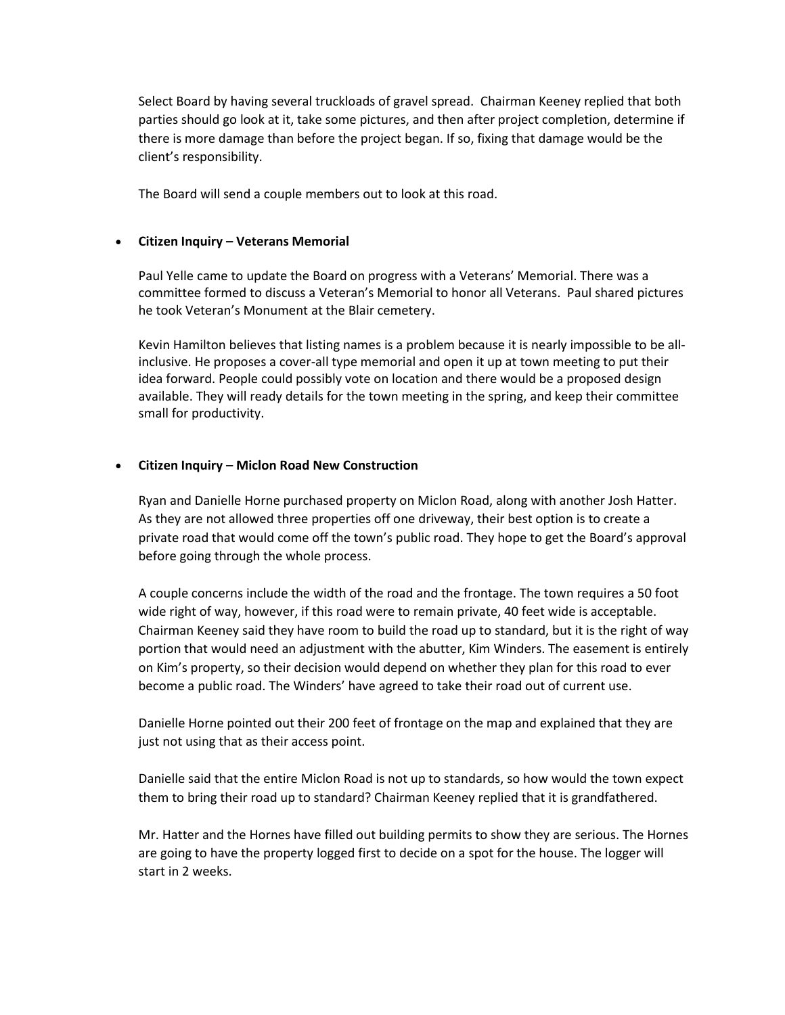Select Board by having several truckloads of gravel spread. Chairman Keeney replied that both parties should go look at it, take some pictures, and then after project completion, determine if there is more damage than before the project began. If so, fixing that damage would be the client's responsibility.

The Board will send a couple members out to look at this road.

# • **Citizen Inquiry – Veterans Memorial**

Paul Yelle came to update the Board on progress with a Veterans' Memorial. There was a committee formed to discuss a Veteran's Memorial to honor all Veterans. Paul shared pictures he took Veteran's Monument at the Blair cemetery.

Kevin Hamilton believes that listing names is a problem because it is nearly impossible to be allinclusive. He proposes a cover-all type memorial and open it up at town meeting to put their idea forward. People could possibly vote on location and there would be a proposed design available. They will ready details for the town meeting in the spring, and keep their committee small for productivity.

# • **Citizen Inquiry – Miclon Road New Construction**

Ryan and Danielle Horne purchased property on Miclon Road, along with another Josh Hatter. As they are not allowed three properties off one driveway, their best option is to create a private road that would come off the town's public road. They hope to get the Board's approval before going through the whole process.

A couple concerns include the width of the road and the frontage. The town requires a 50 foot wide right of way, however, if this road were to remain private, 40 feet wide is acceptable. Chairman Keeney said they have room to build the road up to standard, but it is the right of way portion that would need an adjustment with the abutter, Kim Winders. The easement is entirely on Kim's property, so their decision would depend on whether they plan for this road to ever become a public road. The Winders' have agreed to take their road out of current use.

Danielle Horne pointed out their 200 feet of frontage on the map and explained that they are just not using that as their access point.

Danielle said that the entire Miclon Road is not up to standards, so how would the town expect them to bring their road up to standard? Chairman Keeney replied that it is grandfathered.

Mr. Hatter and the Hornes have filled out building permits to show they are serious. The Hornes are going to have the property logged first to decide on a spot for the house. The logger will start in 2 weeks.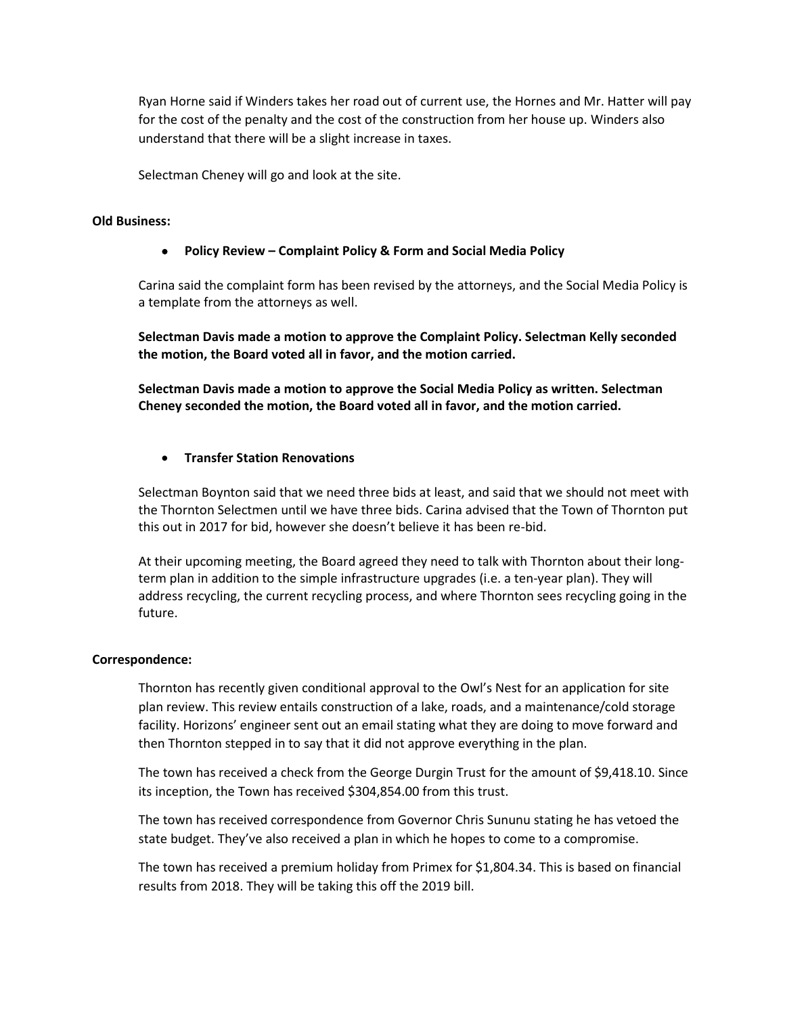Ryan Horne said if Winders takes her road out of current use, the Hornes and Mr. Hatter will pay for the cost of the penalty and the cost of the construction from her house up. Winders also understand that there will be a slight increase in taxes.

Selectman Cheney will go and look at the site.

# **Old Business:**

# • **Policy Review – Complaint Policy & Form and Social Media Policy**

Carina said the complaint form has been revised by the attorneys, and the Social Media Policy is a template from the attorneys as well.

**Selectman Davis made a motion to approve the Complaint Policy. Selectman Kelly seconded the motion, the Board voted all in favor, and the motion carried.**

**Selectman Davis made a motion to approve the Social Media Policy as written. Selectman Cheney seconded the motion, the Board voted all in favor, and the motion carried.**

# • **Transfer Station Renovations**

Selectman Boynton said that we need three bids at least, and said that we should not meet with the Thornton Selectmen until we have three bids. Carina advised that the Town of Thornton put this out in 2017 for bid, however she doesn't believe it has been re-bid.

At their upcoming meeting, the Board agreed they need to talk with Thornton about their longterm plan in addition to the simple infrastructure upgrades (i.e. a ten-year plan). They will address recycling, the current recycling process, and where Thornton sees recycling going in the future.

### **Correspondence:**

Thornton has recently given conditional approval to the Owl's Nest for an application for site plan review. This review entails construction of a lake, roads, and a maintenance/cold storage facility. Horizons' engineer sent out an email stating what they are doing to move forward and then Thornton stepped in to say that it did not approve everything in the plan.

The town has received a check from the George Durgin Trust for the amount of \$9,418.10. Since its inception, the Town has received \$304,854.00 from this trust.

The town has received correspondence from Governor Chris Sununu stating he has vetoed the state budget. They've also received a plan in which he hopes to come to a compromise.

The town has received a premium holiday from Primex for \$1,804.34. This is based on financial results from 2018. They will be taking this off the 2019 bill.